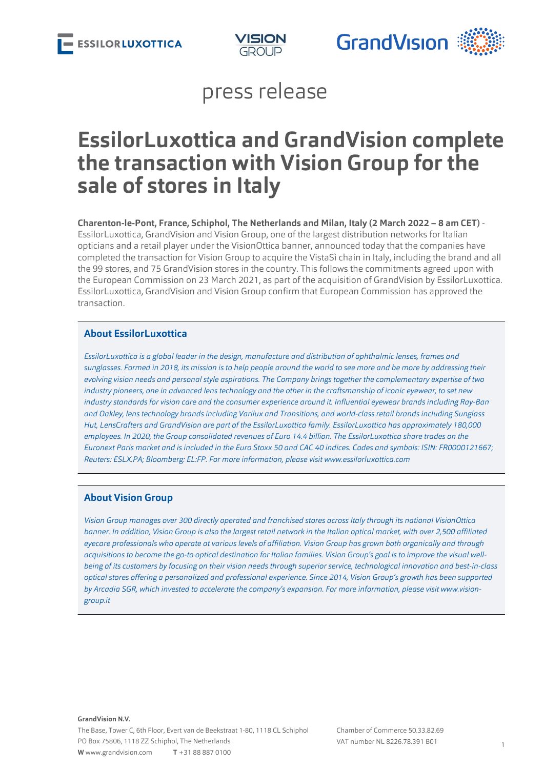



## press release

# **EssilorLuxottica and GrandVision complete the transaction with Vision Group for the sale of stores in Italy**

**Charenton-le-Pont, France, Schiphol, The Netherlands and Milan, Italy (2 March 2022 – 8 am CET)** - EssilorLuxottica, GrandVision and Vision Group, one of the largest distribution networks for Italian opticians and a retail player under the VisionOttica banner, announced today that the companies have completed the transaction for Vision Group to acquire the VistaSì chain in Italy, including the brand and all the 99 stores, and 75 GrandVision stores in the country. This follows the commitments agreed upon with the European Commission on 23 March 2021, as part of the acquisition of GrandVision by EssilorLuxottica. EssilorLuxottica, GrandVision and Vision Group confirm that European Commission has approved the transaction.

## **About EssilorLuxottica**

*EssilorLuxottica is a global leader in the design, manufacture and distribution of ophthalmic lenses, frames and sunglasses. Formed in 2018, its mission is to help people around the world to see more and be more by addressing their evolving vision needs and personal style aspirations. The Company brings together the complementary expertise of two industry pioneers, one in advanced lens technology and the other in the craftsmanship of iconic eyewear, to set new industry standards for vision care and the consumer experience around it. Influential eyewear brands including Ray-Ban and Oakley, lens technology brands including Varilux and Transitions, and world-class retail brands including Sunglass Hut, LensCrafters and GrandVision are part of the EssilorLuxottica family. EssilorLuxottica has approximately 180,000 employees. In 2020, the Group consolidated revenues of Euro 14.4 billion. The EssilorLuxottica share trades on the Euronext Paris market and is included in the Euro Stoxx 50 and CAC 40 indices. Codes and symbols: ISIN: FR0000121667; Reuters: ESLX.PA; Bloomberg: EL:FP. For more information, please visit [www.essilorluxottica.com](http://www.essilorluxottica.com)*

## **About Vision Group**

*Vision Group manages over 300 directly operated and franchised stores across Italy through its national VisionOttica banner. In addition, Vision Group is also the largest retail network in the Italian optical market, with over 2,500 affiliated eyecare professionals who operate at various levels of affiliation. Vision Group has grown both organically and through acquisitions to become the go-to optical destination for Italian families. Vision Group's goal is to improve the visual wellbeing of its customers by focusing on their vision needs through superior service, technological innovation and best-in-class optical stores offering a personalized and professional experience. Since 2014, Vision Group's growth has been supported* by Arcadia SGR, which invested to accelerate the company's expansion. For more information, please visit [www.vision](https://vision-group.it/en/)*[group.it](https://vision-group.it/en/)*